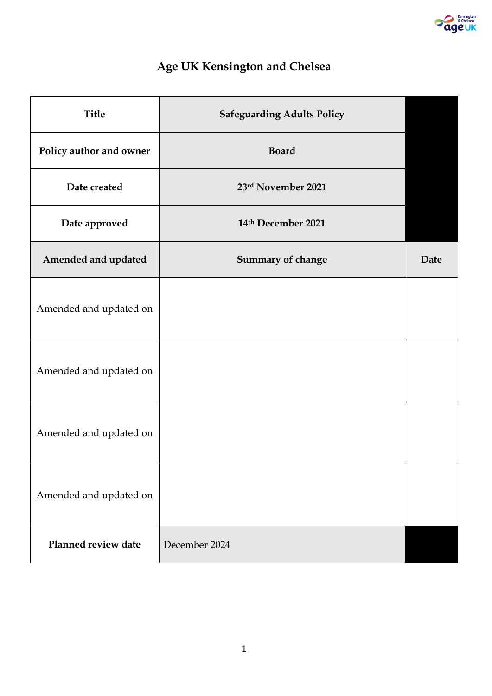

# **Age UK Kensington and Chelsea**

| <b>Title</b>            | <b>Safeguarding Adults Policy</b> |      |
|-------------------------|-----------------------------------|------|
| Policy author and owner | <b>Board</b>                      |      |
| Date created            | 23rd November 2021                |      |
| Date approved           | 14th December 2021                |      |
| Amended and updated     | Summary of change                 | Date |
| Amended and updated on  |                                   |      |
| Amended and updated on  |                                   |      |
| Amended and updated on  |                                   |      |
| Amended and updated on  |                                   |      |
| Planned review date     | December 2024                     |      |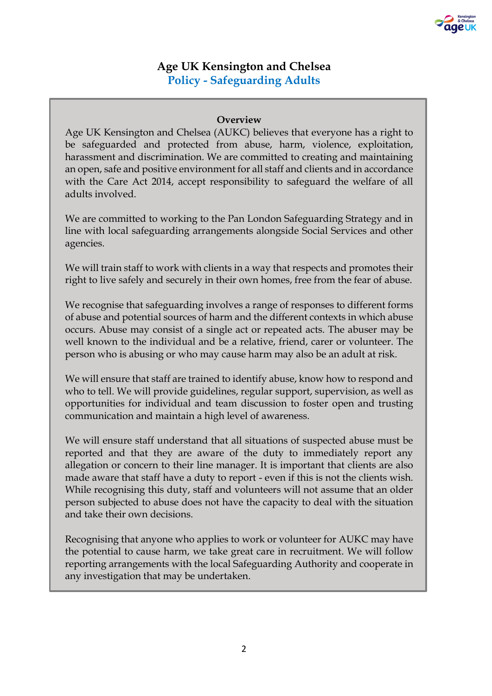

## **Age UK Kensington and Chelsea Policy - Safeguarding Adults**

## **Overview**

Age UK Kensington and Chelsea (AUKC) believes that everyone has a right to be safeguarded and protected from abuse, harm, violence, exploitation, harassment and discrimination. We are committed to creating and maintaining an open, safe and positive environment for all staff and clients and in accordance with the Care Act 2014, accept responsibility to safeguard the welfare of all adults involved.

We are committed to working to the Pan London Safeguarding Strategy and in line with local safeguarding arrangements alongside Social Services and other agencies.

We will train staff to work with clients in a way that respects and promotes their right to live safely and securely in their own homes, free from the fear of abuse.

We recognise that safeguarding involves a range of responses to different forms of abuse and potential sources of harm and the different contexts in which abuse occurs. Abuse may consist of a single act or repeated acts. The abuser may be well known to the individual and be a relative, friend, carer or volunteer. The person who is abusing or who may cause harm may also be an adult at risk.

We will ensure that staff are trained to identify abuse, know how to respond and who to tell. We will provide guidelines, regular support, supervision, as well as opportunities for individual and team discussion to foster open and trusting communication and maintain a high level of awareness.

We will ensure staff understand that all situations of suspected abuse must be reported and that they are aware of the duty to immediately report any allegation or concern to their line manager. It is important that clients are also made aware that staff have a duty to report - even if this is not the clients wish. While recognising this duty, staff and volunteers will not assume that an older person subjected to abuse does not have the capacity to deal with the situation and take their own decisions.

Recognising that anyone who applies to work or volunteer for AUKC may have the potential to cause harm, we take great care in recruitment. We will follow reporting arrangements with the local Safeguarding Authority and cooperate in any investigation that may be undertaken.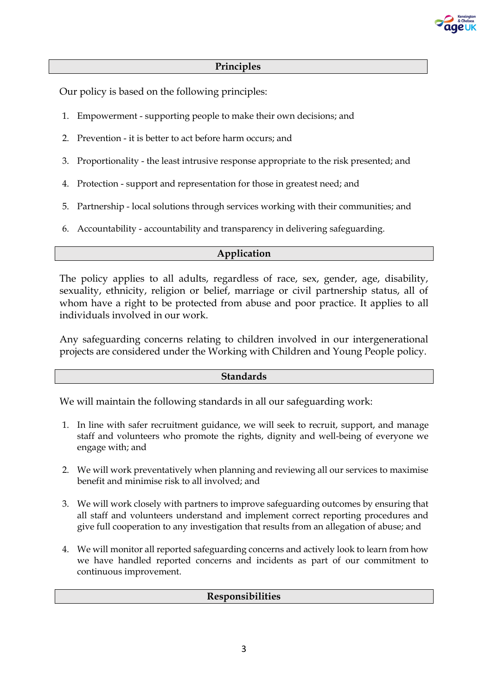

## **Principles**

Our policy is based on the following principles:

- 1. Empowerment supporting people to make their own decisions; and
- 2. Prevention it is better to act before harm occurs; and
- 3. Proportionality the least intrusive response appropriate to the risk presented; and
- 4. Protection support and representation for those in greatest need; and
- 5. Partnership local solutions through services working with their communities; and
- 6. Accountability accountability and transparency in delivering safeguarding.

## **Application**

The policy applies to all adults, regardless of race, sex, gender, age, disability, sexuality, ethnicity, religion or belief, marriage or civil partnership status, all of whom have a right to be protected from abuse and poor practice. It applies to all individuals involved in our work.

Any safeguarding concerns relating to children involved in our intergenerational projects are considered under the Working with Children and Young People policy.

#### **Standards**

We will maintain the following standards in all our safeguarding work:

- 1. In line with safer recruitment guidance, we will seek to recruit, support, and manage staff and volunteers who promote the rights, dignity and well-being of everyone we engage with; and
- 2. We will work preventatively when planning and reviewing all our services to maximise benefit and minimise risk to all involved; and
- 3. We will work closely with partners to improve safeguarding outcomes by ensuring that all staff and volunteers understand and implement correct reporting procedures and give full cooperation to any investigation that results from an allegation of abuse; and
- 4. We will monitor all reported safeguarding concerns and actively look to learn from how we have handled reported concerns and incidents as part of our commitment to continuous improvement.

#### **Responsibilities**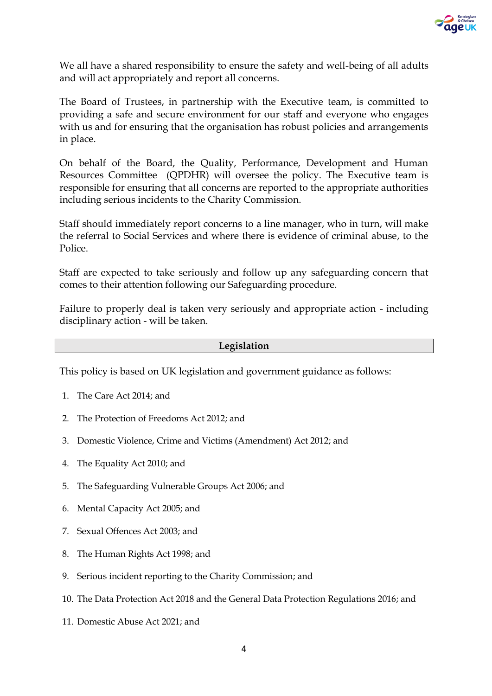

We all have a shared responsibility to ensure the safety and well-being of all adults and will act appropriately and report all concerns.

The Board of Trustees, in partnership with the Executive team, is committed to providing a safe and secure environment for our staff and everyone who engages with us and for ensuring that the organisation has robust policies and arrangements in place.

On behalf of the Board, the Quality, Performance, Development and Human Resources Committee (QPDHR) will oversee the policy. The Executive team is responsible for ensuring that all concerns are reported to the appropriate authorities including serious incidents to the Charity Commission.

Staff should immediately report concerns to a line manager, who in turn, will make the referral to Social Services and where there is evidence of criminal abuse, to the **Police** 

Staff are expected to take seriously and follow up any safeguarding concern that comes to their attention following our Safeguarding procedure.

Failure to properly deal is taken very seriously and appropriate action - including disciplinary action - will be taken.

## **Legislation**

This policy is based on UK legislation and government guidance as follows:

- 1. The Care Act 2014; and
- 2. The Protection of Freedoms Act 2012; and
- 3. Domestic Violence, Crime and Victims (Amendment) Act 2012; and
- 4. The Equality Act 2010; and
- 5. The Safeguarding Vulnerable Groups Act 2006; and
- 6. Mental Capacity Act 2005; and
- 7. Sexual Offences Act 2003; and
- 8. The Human Rights Act 1998; and
- 9. Serious incident reporting to the Charity Commission; and
- 10. The Data Protection Act 2018 and the General Data Protection Regulations 2016; and
- 11. Domestic Abuse Act 2021; and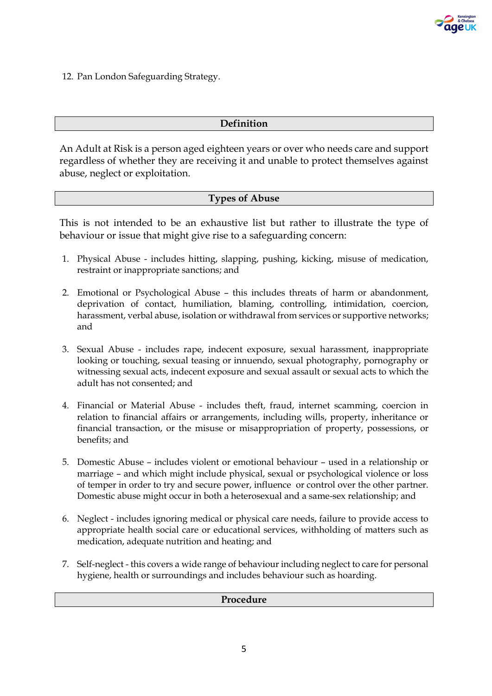

12. Pan London Safeguarding Strategy.

## **Definition**

An Adult at Risk is a person aged eighteen years or over who needs care and support regardless of whether they are receiving it and unable to protect themselves against abuse, neglect or exploitation.

## **Types of Abuse**

This is not intended to be an exhaustive list but rather to illustrate the type of behaviour or issue that might give rise to a safeguarding concern:

- 1. Physical Abuse includes hitting, slapping, pushing, kicking, misuse of medication, restraint or inappropriate sanctions; and
- 2. Emotional or Psychological Abuse this includes threats of harm or abandonment, deprivation of contact, humiliation, blaming, controlling, intimidation, coercion, harassment, verbal abuse, isolation or withdrawal from services or supportive networks; and
- 3. Sexual Abuse includes rape, indecent exposure, sexual harassment, inappropriate looking or touching, sexual teasing or innuendo, sexual photography, pornography or witnessing sexual acts, indecent exposure and sexual assault or sexual acts to which the adult has not consented; and
- 4. Financial or Material Abuse includes theft, fraud, internet scamming, coercion in relation to financial affairs or arrangements, including wills, property, inheritance or financial transaction, or the misuse or misappropriation of property, possessions, or benefits; and
- 5. Domestic Abuse includes violent or emotional behaviour used in a relationship or marriage – and which might include physical, sexual or psychological violence or loss of temper in order to try and secure power, influence or control over the other partner. Domestic abuse might occur in both a heterosexual and a same-sex relationship; and
- 6. Neglect includes ignoring medical or physical care needs, failure to provide access to appropriate health social care or educational services, withholding of matters such as medication, adequate nutrition and heating; and
- 7. Self-neglect this covers a wide range of behaviour including neglect to care for personal hygiene, health or surroundings and includes behaviour such as hoarding.

#### **Procedure**